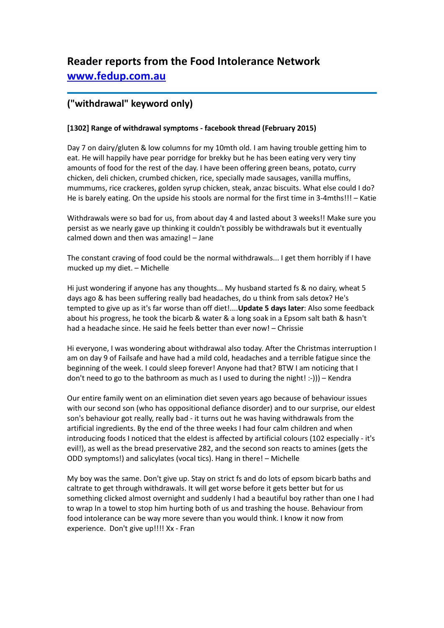# **Reader reports from the Food Intolerance Network [www.fedup.com.au](http://www.fedup.com.au/)**

## **("withdrawal" keyword only)**

### **[1302] Range of withdrawal symptoms - facebook thread (February 2015)**

Day 7 on dairy/gluten & low columns for my 10mth old. I am having trouble getting him to eat. He will happily have pear porridge for brekky but he has been eating very very tiny amounts of food for the rest of the day. I have been offering green beans, potato, curry chicken, deli chicken, crumbed chicken, rice, specially made sausages, vanilla muffins, mummums, rice crackeres, golden syrup chicken, steak, anzac biscuits. What else could I do? He is barely eating. On the upside his stools are normal for the first time in 3-4mths!!! – Katie

Withdrawals were so bad for us, from about day 4 and lasted about 3 weeks!! Make sure you persist as we nearly gave up thinking it couldn't possibly be withdrawals but it eventually calmed down and then was amazing! – Jane

The constant craving of food could be the normal withdrawals... I get them horribly if I have mucked up my diet. – Michelle

Hi just wondering if anyone has any thoughts... My husband started fs & no dairy, wheat 5 days ago & has been suffering really bad headaches, do u think from sals detox? He's tempted to give up as it's far worse than off diet!....**Update 5 days later**: Also some feedback about his progress, he took the bicarb & water & a long soak in a Epsom salt bath & hasn't had a headache since. He said he feels better than ever now! – Chrissie

Hi everyone, I was wondering about withdrawal also today. After the Christmas interruption I am on day 9 of Failsafe and have had a mild cold, headaches and a terrible fatigue since the beginning of the week. I could sleep forever! Anyone had that? BTW I am noticing that I don't need to go to the bathroom as much as I used to during the night!  $:-$ ))) – Kendra

Our entire family went on an elimination diet seven years ago because of behaviour issues with our second son (who has oppositional defiance disorder) and to our surprise, our eldest son's behaviour got really, really bad - it turns out he was having withdrawals from the artificial ingredients. By the end of the three weeks I had four calm children and when introducing foods I noticed that the eldest is affected by artificial colours (102 especially - it's evil!), as well as the bread preservative 282, and the second son reacts to amines (gets the ODD symptoms!) and salicylates (vocal tics). Hang in there! – Michelle

My boy was the same. Don't give up. Stay on strict fs and do lots of epsom bicarb baths and caltrate to get through withdrawals. It will get worse before it gets better but for us something clicked almost overnight and suddenly I had a beautiful boy rather than one I had to wrap In a towel to stop him hurting both of us and trashing the house. Behaviour from food intolerance can be way more severe than you would think. I know it now from experience. Don't give up!!!! Xx - Fran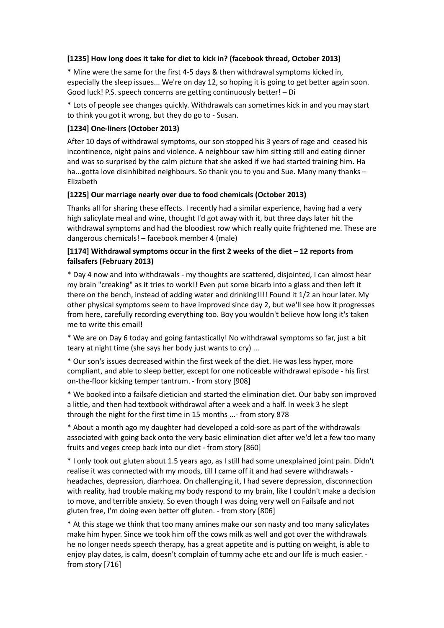#### **[1235] How long does it take for diet to kick in? (facebook thread, October 2013)**

\* Mine were the same for the first 4-5 days & then withdrawal symptoms kicked in, especially the sleep issues... We're on day 12, so hoping it is going to get better again soon. Good luck! P.S. speech concerns are getting continuously better! – Di

\* Lots of people see changes quickly. Withdrawals can sometimes kick in and you may start to think you got it wrong, but they do go to - Susan.

#### **[1234] One-liners (October 2013)**

After 10 days of withdrawal symptoms, our son stopped his 3 years of rage and ceased his incontinence, night pains and violence. A neighbour saw him sitting still and eating dinner and was so surprised by the calm picture that she asked if we had started training him. Ha ha...gotta love disinhibited neighbours. So thank you to you and Sue. Many many thanks – Elizabeth

#### **[1225] Our marriage nearly over due to food chemicals (October 2013)**

Thanks all for sharing these effects. I recently had a similar experience, having had a very high salicylate meal and wine, thought I'd got away with it, but three days later hit the withdrawal symptoms and had the bloodiest row which really quite frightened me. These are dangerous chemicals! – facebook member 4 (male)

#### **[1174] Withdrawal symptoms occur in the first 2 weeks of the diet – 12 reports from failsafers (February 2013)**

\* Day 4 now and into withdrawals - my thoughts are scattered, disjointed, I can almost hear my brain "creaking" as it tries to work!! Even put some bicarb into a glass and then left it there on the bench, instead of adding water and drinking!!!! Found it 1/2 an hour later. My other physical symptoms seem to have improved since day 2, but we'll see how it progresses from here, carefully recording everything too. Boy you wouldn't believe how long it's taken me to write this email!

\* We are on Day 6 today and going fantastically! No withdrawal symptoms so far, just a bit teary at night time (she says her body just wants to cry) ...

\* Our son's issues decreased within the first week of the diet. He was less hyper, more compliant, and able to sleep better, except for one noticeable withdrawal episode - his first on-the-floor kicking temper tantrum. - from story [908]

\* We booked into a failsafe dietician and started the elimination diet. Our baby son improved a little, and then had textbook withdrawal after a week and a half. In week 3 he slept through the night for the first time in 15 months ...- from story 878

\* About a month ago my daughter had developed a cold-sore as part of the withdrawals associated with going back onto the very basic elimination diet after we'd let a few too many fruits and veges creep back into our diet - from story [860]

\* I only took out gluten about 1.5 years ago, as I still had some unexplained joint pain. Didn't realise it was connected with my moods, till I came off it and had severe withdrawals headaches, depression, diarrhoea. On challenging it, I had severe depression, disconnection with reality, had trouble making my body respond to my brain, like I couldn't make a decision to move, and terrible anxiety. So even though I was doing very well on Failsafe and not gluten free, I'm doing even better off gluten. - from story [806]

\* At this stage we think that too many amines make our son nasty and too many salicylates make him hyper. Since we took him off the cows milk as well and got over the withdrawals he no longer needs speech therapy, has a great appetite and is putting on weight, is able to enjoy play dates, is calm, doesn't complain of tummy ache etc and our life is much easier. from story [716]